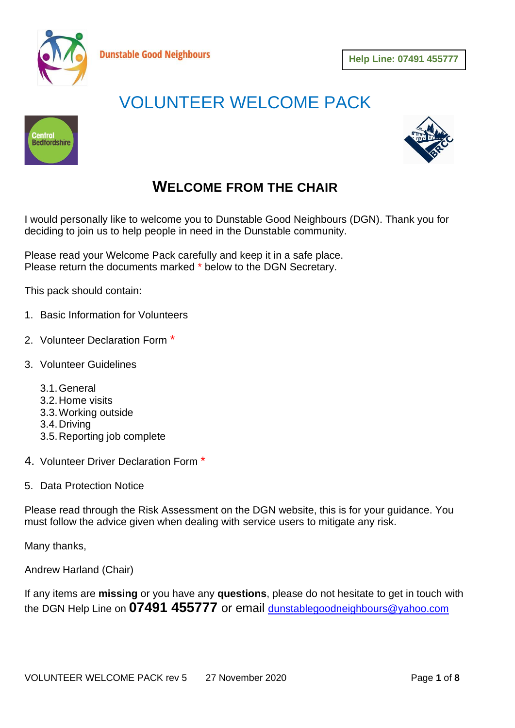

# VOLUNTEER WELCOME PACK





## **WELCOME FROM THE CHAIR**

I would personally like to welcome you to Dunstable Good Neighbours (DGN). Thank you for deciding to join us to help people in need in the Dunstable community.

Please read your Welcome Pack carefully and keep it in a safe place. Please return the documents marked \* below to the DGN Secretary.

**Dunstable Good Neighbours** 

This pack should contain:

- 1. Basic Information for Volunteers
- 2. Volunteer Declaration Form \*
- 3. Volunteer Guidelines
	- 3.1.General
	- 3.2.Home visits
	- 3.3.Working outside
	- 3.4.Driving
	- 3.5.Reporting job complete
- 4. Volunteer Driver Declaration Form \*
- 5. Data Protection Notice

Please read through the Risk Assessment on the DGN website, this is for your guidance. You must follow the advice given when dealing with service users to mitigate any risk.

Many thanks,

Andrew Harland (Chair)

If any items are **missing** or you have any **questions**, please do not hesitate to get in touch with the DGN Help Line on **07491 455777** or email [dunstablegoodneighbours@yahoo.com](mailto:dunstablegoodneighbours@yahoo.com)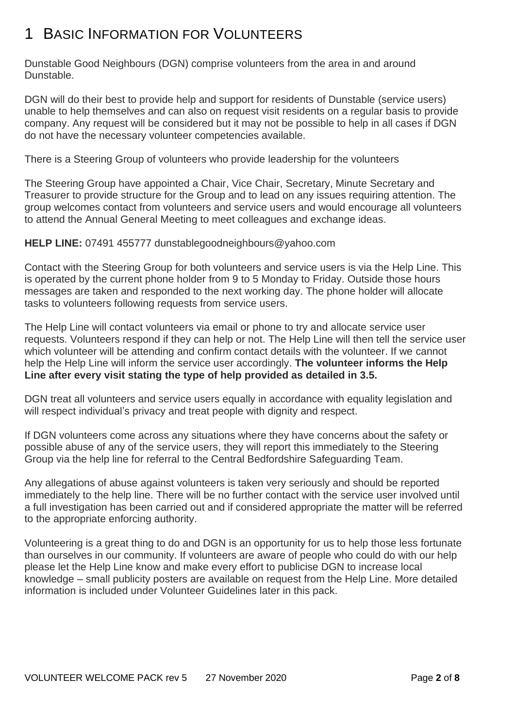## 1 BASIC INFORMATION FOR VOLUNTEERS

Dunstable Good Neighbours (DGN) comprise volunteers from the area in and around Dunstable.

DGN will do their best to provide help and support for residents of Dunstable (service users) unable to help themselves and can also on request visit residents on a regular basis to provide company. Any request will be considered but it may not be possible to help in all cases if DGN do not have the necessary volunteer competencies available.

There is a Steering Group of volunteers who provide leadership for the volunteers

The Steering Group have appointed a Chair, Vice Chair, Secretary, Minute Secretary and Treasurer to provide structure for the Group and to lead on any issues requiring attention. The group welcomes contact from volunteers and service users and would encourage all volunteers to attend the Annual General Meeting to meet colleagues and exchange ideas.

### **HELP LINE:** 07491 455777 dunstablegoodneighbours@yahoo.com

Contact with the Steering Group for both volunteers and service users is via the Help Line. This is operated by the current phone holder from 9 to 5 Monday to Friday. Outside those hours messages are taken and responded to the next working day. The phone holder will allocate tasks to volunteers following requests from service users.

The Help Line will contact volunteers via email or phone to try and allocate service user requests. Volunteers respond if they can help or not. The Help Line will then tell the service user which volunteer will be attending and confirm contact details with the volunteer. If we cannot help the Help Line will inform the service user accordingly. **The volunteer informs the Help Line after every visit stating the type of help provided as detailed in 3.5.**

DGN treat all volunteers and service users equally in accordance with equality legislation and will respect individual's privacy and treat people with dignity and respect.

If DGN volunteers come across any situations where they have concerns about the safety or possible abuse of any of the service users, they will report this immediately to the Steering Group via the help line for referral to the Central Bedfordshire Safeguarding Team.

Any allegations of abuse against volunteers is taken very seriously and should be reported immediately to the help line. There will be no further contact with the service user involved until a full investigation has been carried out and if considered appropriate the matter will be referred to the appropriate enforcing authority.

Volunteering is a great thing to do and DGN is an opportunity for us to help those less fortunate than ourselves in our community. If volunteers are aware of people who could do with our help please let the Help Line know and make every effort to publicise DGN to increase local knowledge – small publicity posters are available on request from the Help Line. More detailed information is included under Volunteer Guidelines later in this pack.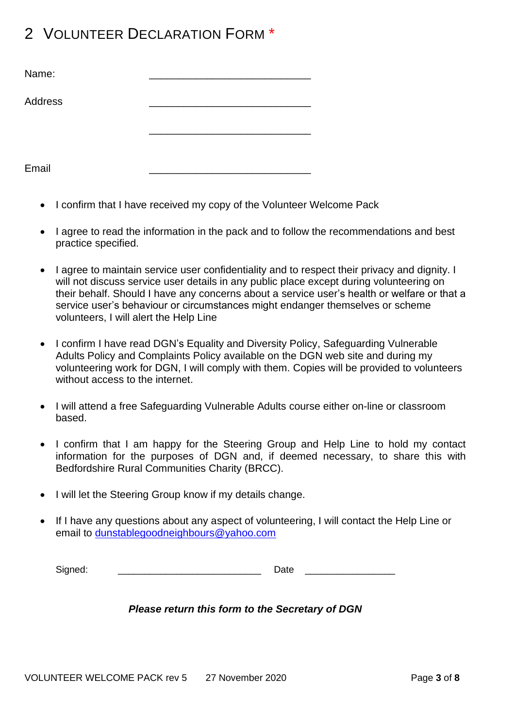## 2 VOLUNTEER DECLARATION FORM \*

| Name:   |  |
|---------|--|
| Address |  |
|         |  |
|         |  |
| Email   |  |

- I confirm that I have received my copy of the Volunteer Welcome Pack
- I agree to read the information in the pack and to follow the recommendations and best practice specified.
- I agree to maintain service user confidentiality and to respect their privacy and dignity. I will not discuss service user details in any public place except during volunteering on their behalf. Should I have any concerns about a service user's health or welfare or that a service user's behaviour or circumstances might endanger themselves or scheme volunteers, I will alert the Help Line
- I confirm I have read DGN's Equality and Diversity Policy, Safeguarding Vulnerable Adults Policy and Complaints Policy available on the DGN web site and during my volunteering work for DGN, I will comply with them. Copies will be provided to volunteers without access to the internet.
- I will attend a free Safeguarding Vulnerable Adults course either on-line or classroom based.
- I confirm that I am happy for the Steering Group and Help Line to hold my contact information for the purposes of DGN and, if deemed necessary, to share this with Bedfordshire Rural Communities Charity (BRCC).
- I will let the Steering Group know if my details change.
- If I have any questions about any aspect of volunteering, I will contact the Help Line or email to [dunstablegoodneighbours@yahoo.com](mailto:dunstablegoodneighbours@yahoo.com)

| Signed. |  | $ -$<br>_____ |  |
|---------|--|---------------|--|
|---------|--|---------------|--|

### *Please return this form to the Secretary of DGN*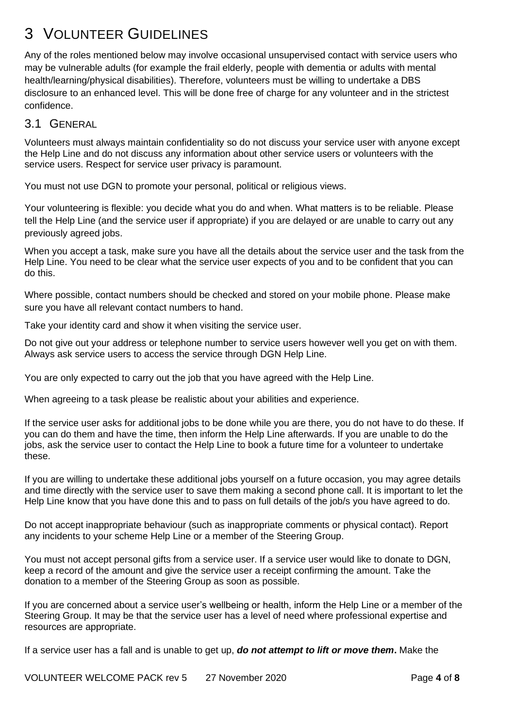## 3 VOLUNTEER GUIDELINES

Any of the roles mentioned below may involve occasional unsupervised contact with service users who may be vulnerable adults (for example the frail elderly, people with dementia or adults with mental health/learning/physical disabilities). Therefore, volunteers must be willing to undertake a DBS disclosure to an enhanced level. This will be done free of charge for any volunteer and in the strictest confidence.

### 3.1 GENERAL

Volunteers must always maintain confidentiality so do not discuss your service user with anyone except the Help Line and do not discuss any information about other service users or volunteers with the service users. Respect for service user privacy is paramount.

You must not use DGN to promote your personal, political or religious views.

Your volunteering is flexible: you decide what you do and when. What matters is to be reliable. Please tell the Help Line (and the service user if appropriate) if you are delayed or are unable to carry out any previously agreed jobs.

When you accept a task, make sure you have all the details about the service user and the task from the Help Line. You need to be clear what the service user expects of you and to be confident that you can do this.

Where possible, contact numbers should be checked and stored on your mobile phone. Please make sure you have all relevant contact numbers to hand.

Take your identity card and show it when visiting the service user.

Do not give out your address or telephone number to service users however well you get on with them. Always ask service users to access the service through DGN Help Line.

You are only expected to carry out the job that you have agreed with the Help Line.

When agreeing to a task please be realistic about your abilities and experience.

If the service user asks for additional jobs to be done while you are there, you do not have to do these. If you can do them and have the time, then inform the Help Line afterwards. If you are unable to do the jobs, ask the service user to contact the Help Line to book a future time for a volunteer to undertake these.

If you are willing to undertake these additional jobs yourself on a future occasion, you may agree details and time directly with the service user to save them making a second phone call. It is important to let the Help Line know that you have done this and to pass on full details of the job/s you have agreed to do.

Do not accept inappropriate behaviour (such as inappropriate comments or physical contact). Report any incidents to your scheme Help Line or a member of the Steering Group.

You must not accept personal gifts from a service user. If a service user would like to donate to DGN, keep a record of the amount and give the service user a receipt confirming the amount. Take the donation to a member of the Steering Group as soon as possible.

If you are concerned about a service user's wellbeing or health, inform the Help Line or a member of the Steering Group. It may be that the service user has a level of need where professional expertise and resources are appropriate.

If a service user has a fall and is unable to get up, *do not attempt to lift or move them***.** Make the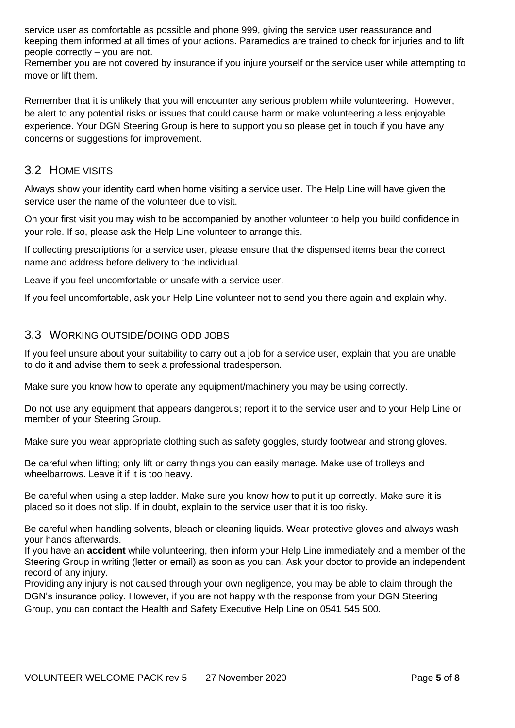service user as comfortable as possible and phone 999, giving the service user reassurance and keeping them informed at all times of your actions. Paramedics are trained to check for injuries and to lift people correctly – you are not.

Remember you are not covered by insurance if you injure yourself or the service user while attempting to move or lift them.

Remember that it is unlikely that you will encounter any serious problem while volunteering. However, be alert to any potential risks or issues that could cause harm or make volunteering a less enjoyable experience. Your DGN Steering Group is here to support you so please get in touch if you have any concerns or suggestions for improvement.

### 3.2 HOME VISITS

Always show your identity card when home visiting a service user. The Help Line will have given the service user the name of the volunteer due to visit.

On your first visit you may wish to be accompanied by another volunteer to help you build confidence in your role. If so, please ask the Help Line volunteer to arrange this.

If collecting prescriptions for a service user, please ensure that the dispensed items bear the correct name and address before delivery to the individual.

Leave if you feel uncomfortable or unsafe with a service user.

If you feel uncomfortable, ask your Help Line volunteer not to send you there again and explain why.

### 3.3 WORKING OUTSIDE/DOING ODD JOBS

If you feel unsure about your suitability to carry out a job for a service user, explain that you are unable to do it and advise them to seek a professional tradesperson.

Make sure you know how to operate any equipment/machinery you may be using correctly.

Do not use any equipment that appears dangerous; report it to the service user and to your Help Line or member of your Steering Group.

Make sure you wear appropriate clothing such as safety goggles, sturdy footwear and strong gloves.

Be careful when lifting; only lift or carry things you can easily manage. Make use of trolleys and wheelbarrows. Leave it if it is too heavy.

Be careful when using a step ladder. Make sure you know how to put it up correctly. Make sure it is placed so it does not slip. If in doubt, explain to the service user that it is too risky.

Be careful when handling solvents, bleach or cleaning liquids. Wear protective gloves and always wash your hands afterwards.

If you have an **accident** while volunteering, then inform your Help Line immediately and a member of the Steering Group in writing (letter or email) as soon as you can. Ask your doctor to provide an independent record of any injury.

Providing any injury is not caused through your own negligence, you may be able to claim through the DGN's insurance policy. However, if you are not happy with the response from your DGN Steering Group, you can contact the Health and Safety Executive Help Line on 0541 545 500.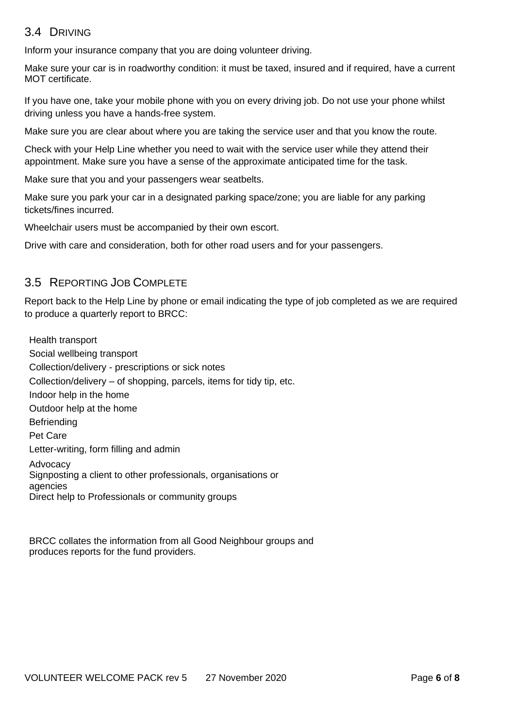## 3.4 DRIVING

Inform your insurance company that you are doing volunteer driving.

Make sure your car is in roadworthy condition: it must be taxed, insured and if required, have a current MOT certificate.

If you have one, take your mobile phone with you on every driving job. Do not use your phone whilst driving unless you have a hands-free system.

Make sure you are clear about where you are taking the service user and that you know the route.

Check with your Help Line whether you need to wait with the service user while they attend their appointment. Make sure you have a sense of the approximate anticipated time for the task.

Make sure that you and your passengers wear seatbelts.

Make sure you park your car in a designated parking space/zone; you are liable for any parking tickets/fines incurred.

Wheelchair users must be accompanied by their own escort.

Drive with care and consideration, both for other road users and for your passengers.

## 3.5 REPORTING JOB COMPLETE

Report back to the Help Line by phone or email indicating the type of job completed as we are required to produce a quarterly report to BRCC:

Health transport Social wellbeing transport Collection/delivery - prescriptions or sick notes Collection/delivery – of shopping, parcels, items for tidy tip, etc. Indoor help in the home Outdoor help at the home **Befriending** Pet Care Letter-writing, form filling and admin Advocacy Signposting a client to other professionals, organisations or agencies Direct help to Professionals or community groups

BRCC collates the information from all Good Neighbour groups and produces reports for the fund providers.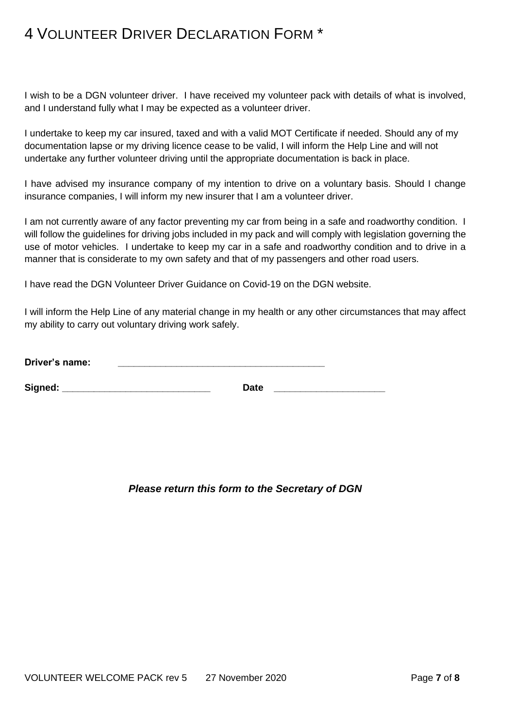## 4 VOLUNTEER DRIVER DECLARATION FORM \*

I wish to be a DGN volunteer driver. I have received my volunteer pack with details of what is involved, and I understand fully what I may be expected as a volunteer driver.

I undertake to keep my car insured, taxed and with a valid MOT Certificate if needed. Should any of my documentation lapse or my driving licence cease to be valid, I will inform the Help Line and will not undertake any further volunteer driving until the appropriate documentation is back in place.

I have advised my insurance company of my intention to drive on a voluntary basis. Should I change insurance companies, I will inform my new insurer that I am a volunteer driver.

I am not currently aware of any factor preventing my car from being in a safe and roadworthy condition. I will follow the guidelines for driving jobs included in my pack and will comply with legislation governing the use of motor vehicles. I undertake to keep my car in a safe and roadworthy condition and to drive in a manner that is considerate to my own safety and that of my passengers and other road users.

I have read the DGN Volunteer Driver Guidance on Covid-19 on the DGN website.

I will inform the Help Line of any material change in my health or any other circumstances that may affect my ability to carry out voluntary driving work safely.

| Driver's name: |  |  |
|----------------|--|--|
|----------------|--|--|

| Signed: | rat d<br>Dale |  |
|---------|---------------|--|

*Please return this form to the Secretary of DGN*